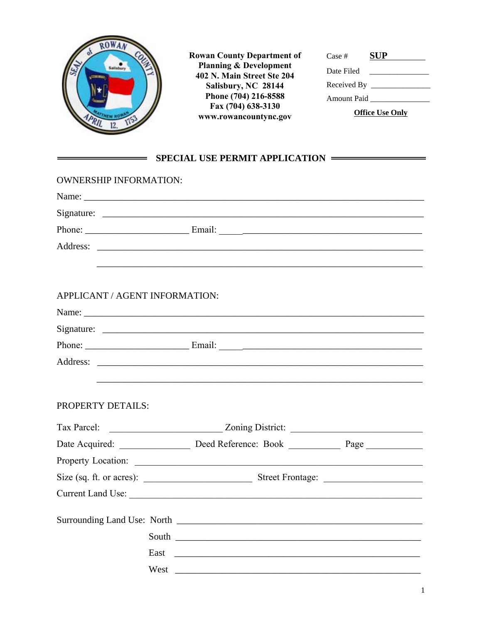

**Rowan County Department of<br>Planning & Development<br>402 N. Main Street Ste 204** Salisbury, NC 28144 Phone (704) 216-8588 Fax (704) 638-3130 www.rowancountync.gov

| Case #                 | SUP |  |
|------------------------|-----|--|
| Date Filed             |     |  |
|                        |     |  |
| <b>Amount Paid</b>     |     |  |
| <b>Office Use Only</b> |     |  |

## SPECIAL USE PERMIT APPLICATION

| <b>OWNERSHIP INFORMATION:</b>  |                                                                                   |  |  |
|--------------------------------|-----------------------------------------------------------------------------------|--|--|
|                                |                                                                                   |  |  |
|                                |                                                                                   |  |  |
|                                |                                                                                   |  |  |
|                                |                                                                                   |  |  |
|                                |                                                                                   |  |  |
|                                |                                                                                   |  |  |
| APPLICANT / AGENT INFORMATION: |                                                                                   |  |  |
|                                |                                                                                   |  |  |
|                                |                                                                                   |  |  |
|                                |                                                                                   |  |  |
|                                |                                                                                   |  |  |
|                                |                                                                                   |  |  |
| PROPERTY DETAILS:              |                                                                                   |  |  |
|                                |                                                                                   |  |  |
| Tax Parcel:                    | Zoning District:                                                                  |  |  |
|                                | Date Acquired: ________________ Deed Reference: Book ___________ Page ___________ |  |  |
|                                |                                                                                   |  |  |
|                                |                                                                                   |  |  |
|                                | Current Land Use:                                                                 |  |  |
|                                |                                                                                   |  |  |
|                                |                                                                                   |  |  |
|                                |                                                                                   |  |  |
|                                | West                                                                              |  |  |